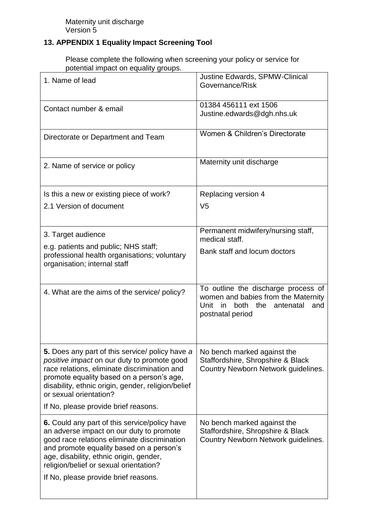## **13. APPENDIX 1 Equality Impact Screening Tool**

Please complete the following when screening your policy or service for potential impact on equality groups.

| 1. Name of lead                                                                                                                                                                                                                                                                                                            | Justine Edwards, SPMW-Clinical<br>Governance/Risk                                                                                               |
|----------------------------------------------------------------------------------------------------------------------------------------------------------------------------------------------------------------------------------------------------------------------------------------------------------------------------|-------------------------------------------------------------------------------------------------------------------------------------------------|
| Contact number & email                                                                                                                                                                                                                                                                                                     | 01384 456111 ext 1506<br>Justine.edwards@dgh.nhs.uk                                                                                             |
| Directorate or Department and Team                                                                                                                                                                                                                                                                                         | Women & Children's Directorate                                                                                                                  |
| 2. Name of service or policy                                                                                                                                                                                                                                                                                               | Maternity unit discharge                                                                                                                        |
| Is this a new or existing piece of work?<br>2.1 Version of document                                                                                                                                                                                                                                                        | Replacing version 4<br>V <sub>5</sub>                                                                                                           |
| 3. Target audience                                                                                                                                                                                                                                                                                                         | Permanent midwifery/nursing staff,<br>medical staff.                                                                                            |
| e.g. patients and public; NHS staff;<br>professional health organisations; voluntary<br>organisation; internal staff                                                                                                                                                                                                       | Bank staff and locum doctors                                                                                                                    |
| 4. What are the aims of the service/ policy?                                                                                                                                                                                                                                                                               | To outline the discharge process of<br>women and babies from the Maternity<br>Unit<br>in<br>both<br>the<br>antenatal<br>and<br>postnatal period |
| <b>5.</b> Does any part of this service/ policy have a<br>positive impact on our duty to promote good<br>race relations, eliminate discrimination and<br>promote equality based on a person's age,<br>disability, ethnic origin, gender, religion/belief<br>or sexual orientation?<br>If No, please provide brief reasons. | No bench marked against the<br>Staffordshire, Shropshire & Black<br>Country Newborn Network guidelines.                                         |
| 6. Could any part of this service/policy have                                                                                                                                                                                                                                                                              | No bench marked against the                                                                                                                     |
| an adverse impact on our duty to promote<br>good race relations eliminate discrimination<br>and promote equality based on a person's<br>age, disability, ethnic origin, gender,<br>religion/belief or sexual orientation?<br>If No, please provide brief reasons.                                                          | Staffordshire, Shropshire & Black<br>Country Newborn Network guidelines.                                                                        |
|                                                                                                                                                                                                                                                                                                                            |                                                                                                                                                 |